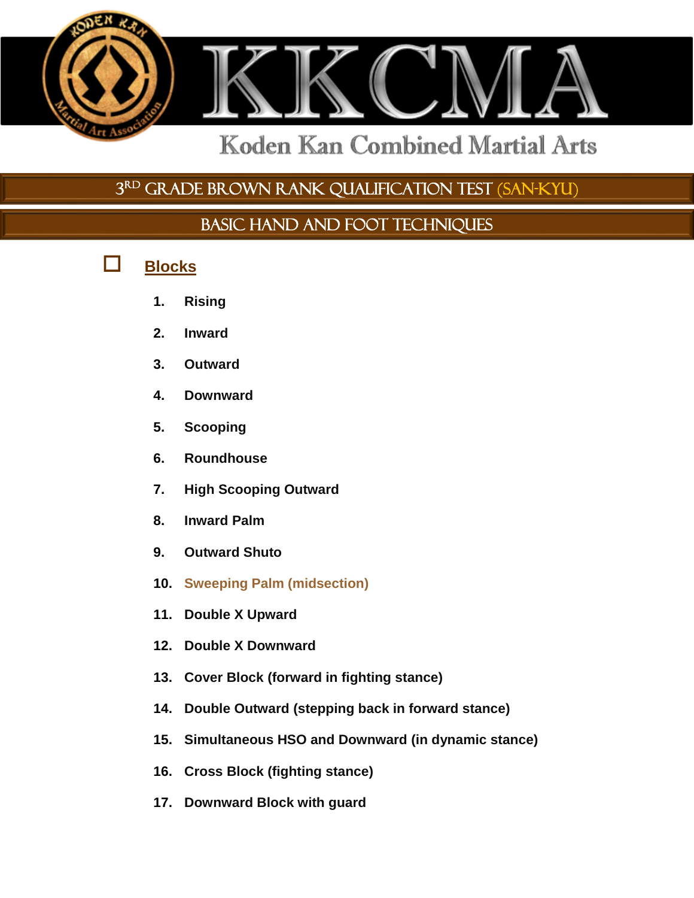

3 rd GRADE BROWN RANK QUALIFICATION TEST (SAN-KYU)

BASIC HAND AND FOOT TECHNIQUES

- **Blocks**
	- **1. Rising**
	- **2. Inward**
	- **3. Outward**
	- **4. Downward**
	- **5. Scooping**
	- **6. Roundhouse**
	- **7. High Scooping Outward**
	- **8. Inward Palm**
	- **9. Outward Shuto**
	- **10. Sweeping Palm (midsection)**
	- **11. Double X Upward**
	- **12. Double X Downward**
	- **13. Cover Block (forward in fighting stance)**
	- **14. Double Outward (stepping back in forward stance)**
	- **15. Simultaneous HSO and Downward (in dynamic stance)**
	- **16. Cross Block (fighting stance)**
	- **17. Downward Block with guard**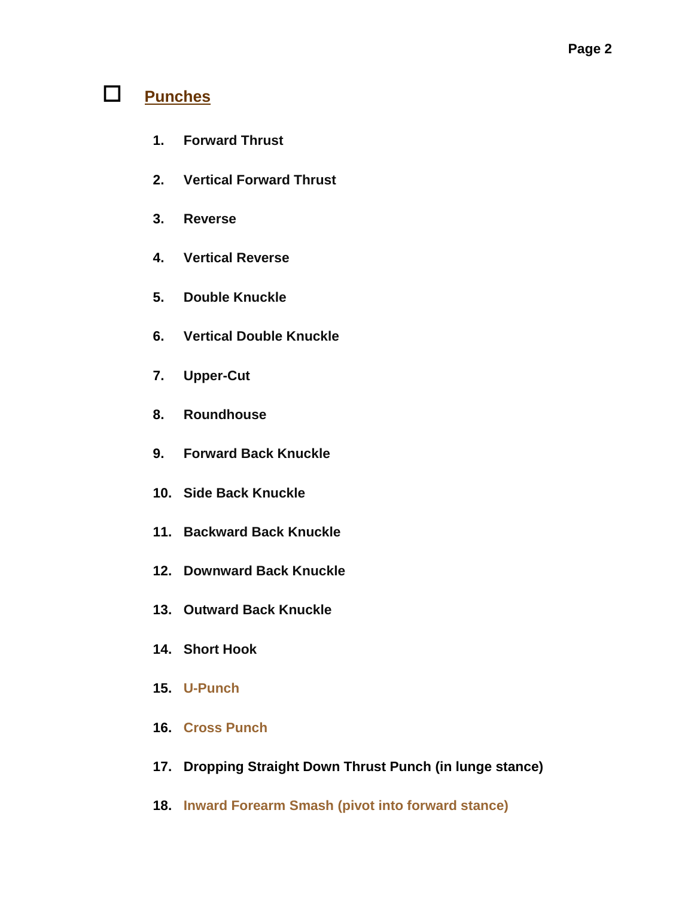## **Punches**

- **1. Forward Thrust**
- **2. Vertical Forward Thrust**
- **3. Reverse**
- **4. Vertical Reverse**
- **5. Double Knuckle**
- **6. Vertical Double Knuckle**
- **7. Upper-Cut**
- **8. Roundhouse**
- **9. Forward Back Knuckle**
- **10. Side Back Knuckle**
- **11. Backward Back Knuckle**
- **12. Downward Back Knuckle**
- **13. Outward Back Knuckle**
- **14. Short Hook**
- **15. U-Punch**
- **16. Cross Punch**
- **17. Dropping Straight Down Thrust Punch (in lunge stance)**
- **18. Inward Forearm Smash (pivot into forward stance)**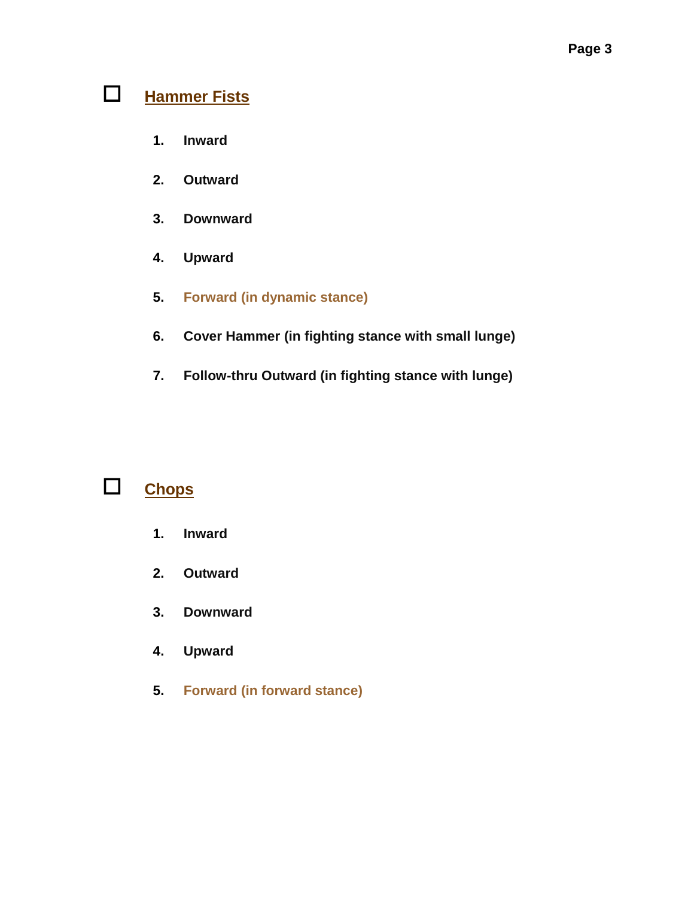## **Hammer Fists**

- **1. Inward**
- **2. Outward**
- **3. Downward**
- **4. Upward**
- **5. Forward (in dynamic stance)**
- **6. Cover Hammer (in fighting stance with small lunge)**
- **7. Follow-thru Outward (in fighting stance with lunge)**

## **Chops**

- **1. Inward**
- **2. Outward**
- **3. Downward**
- **4. Upward**
- **5. Forward (in forward stance)**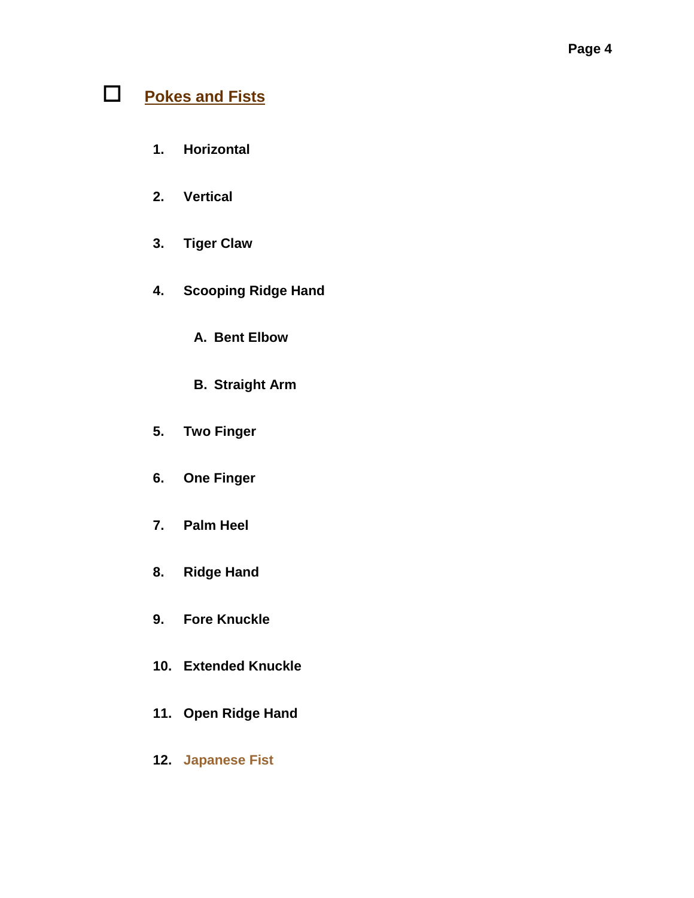## **Pokes and Fists**

- **1. Horizontal**
- **2. Vertical**
- **3. Tiger Claw**
- **4. Scooping Ridge Hand**
	- **A. Bent Elbow**
	- **B. Straight Arm**
- **5. Two Finger**
- **6. One Finger**
- **7. Palm Heel**
- **8. Ridge Hand**
- **9. Fore Knuckle**
- **10. Extended Knuckle**
- **11. Open Ridge Hand**
- **12. Japanese Fist**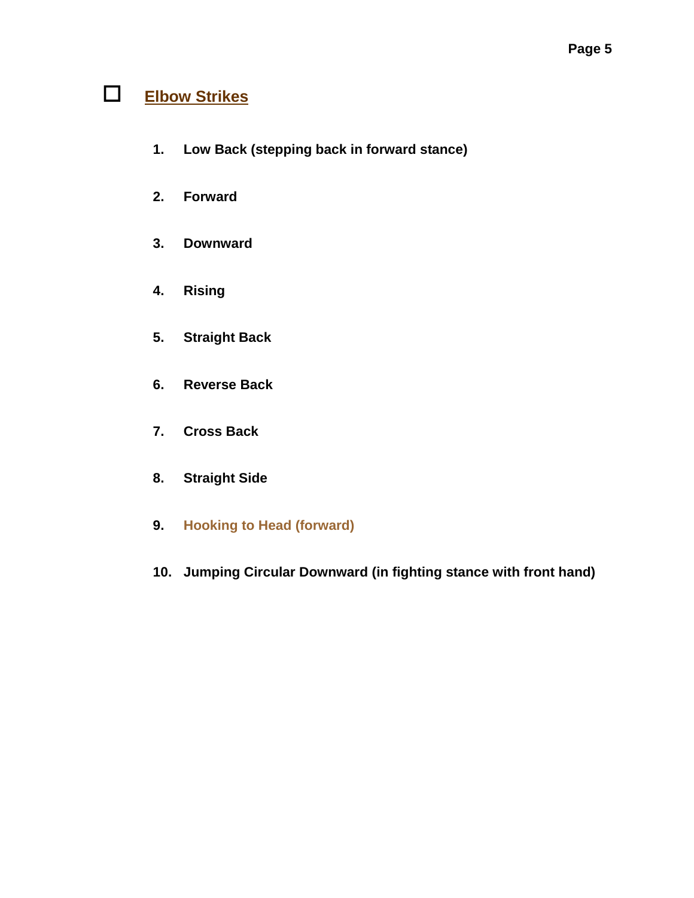## **Elbow Strikes**

- **1. Low Back (stepping back in forward stance)**
- **2. Forward**
- **3. Downward**
- **4. Rising**
- **5. Straight Back**
- **6. Reverse Back**
- **7. Cross Back**
- **8. Straight Side**
- **9. Hooking to Head (forward)**
- **10. Jumping Circular Downward (in fighting stance with front hand)**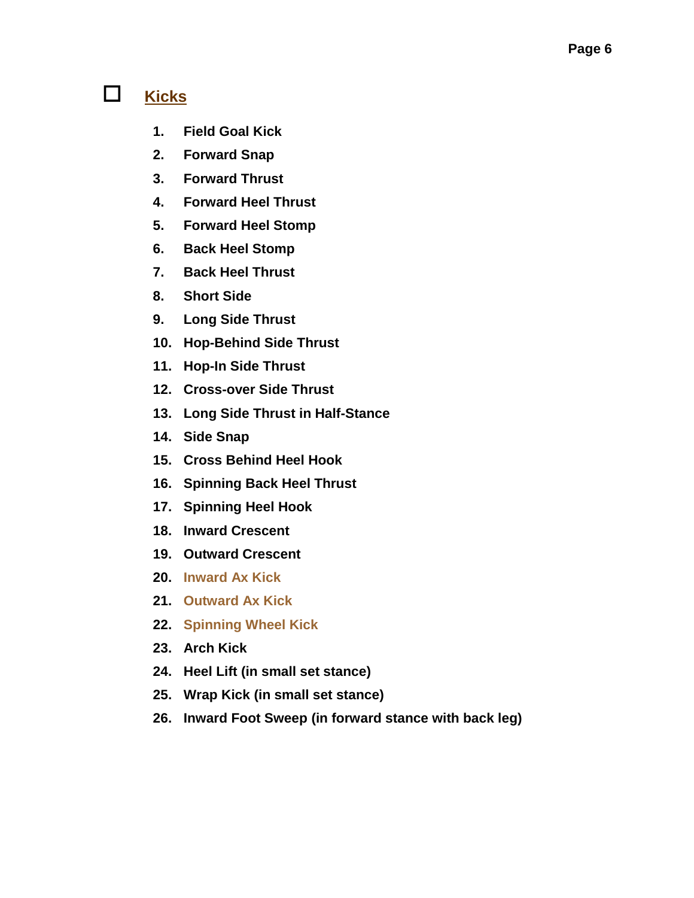### **Kicks**

- **1. Field Goal Kick**
- **2. Forward Snap**
- **3. Forward Thrust**
- **4. Forward Heel Thrust**
- **5. Forward Heel Stomp**
- **6. Back Heel Stomp**
- **7. Back Heel Thrust**
- **8. Short Side**
- **9. Long Side Thrust**
- **10. Hop-Behind Side Thrust**
- **11. Hop-In Side Thrust**
- **12. Cross-over Side Thrust**
- **13. Long Side Thrust in Half-Stance**
- **14. Side Snap**
- **15. Cross Behind Heel Hook**
- **16. Spinning Back Heel Thrust**
- **17. Spinning Heel Hook**
- **18. Inward Crescent**
- **19. Outward Crescent**
- **20. Inward Ax Kick**
- **21. Outward Ax Kick**
- **22. Spinning Wheel Kick**
- **23. Arch Kick**
- **24. Heel Lift (in small set stance)**
- **25. Wrap Kick (in small set stance)**
- **26. Inward Foot Sweep (in forward stance with back leg)**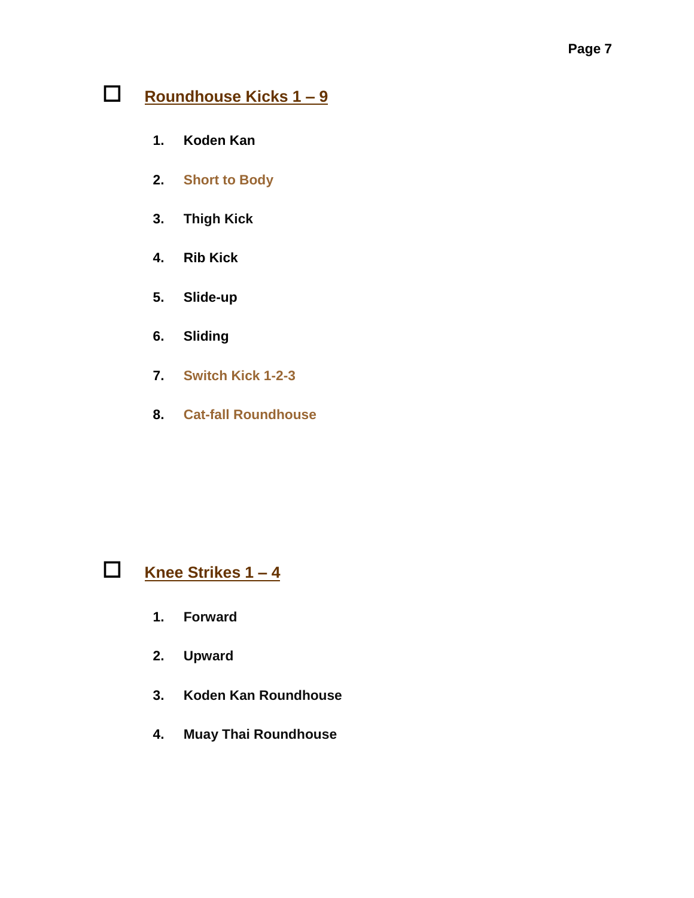## **Roundhouse Kicks 1 – 9**

- **1. Koden Kan**
- **2. Short to Body**
- **3. Thigh Kick**
- **4. Rib Kick**
- **5. Slide-up**
- **6. Sliding**
- **7. Switch Kick 1-2-3**
- **8. Cat-fall Roundhouse**



- **1. Forward**
- **2. Upward**
- **3. Koden Kan Roundhouse**
- **4. Muay Thai Roundhouse**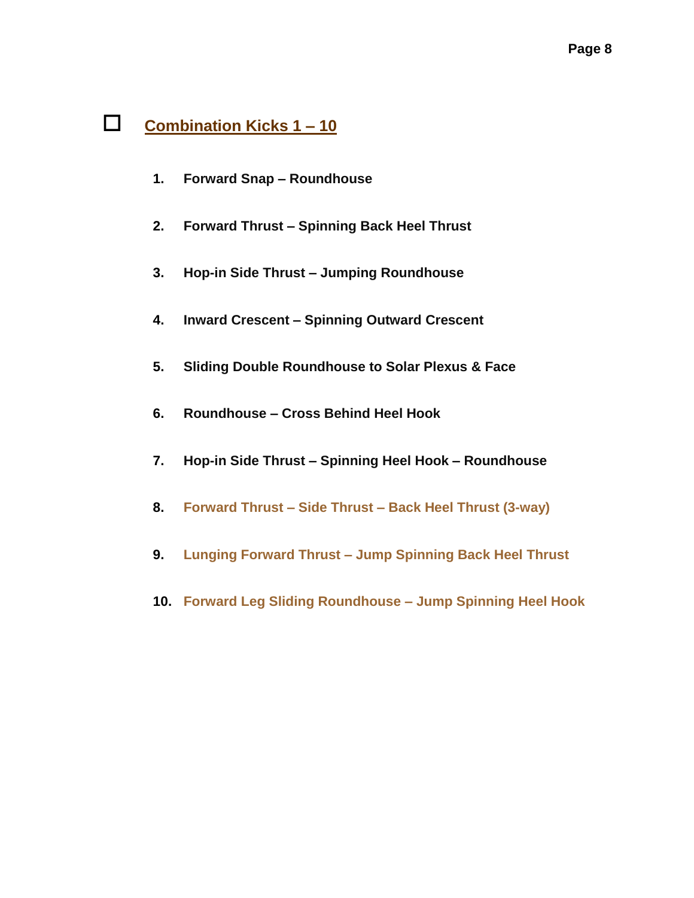### **Combination Kicks 1 – 10**

- **1. Forward Snap – Roundhouse**
- **2. Forward Thrust – Spinning Back Heel Thrust**
- **3. Hop-in Side Thrust – Jumping Roundhouse**
- **4. Inward Crescent – Spinning Outward Crescent**
- **5. Sliding Double Roundhouse to Solar Plexus & Face**
- **6. Roundhouse – Cross Behind Heel Hook**
- **7. Hop-in Side Thrust – Spinning Heel Hook – Roundhouse**
- **8. Forward Thrust – Side Thrust – Back Heel Thrust (3-way)**
- **9. Lunging Forward Thrust – Jump Spinning Back Heel Thrust**
- **10. Forward Leg Sliding Roundhouse – Jump Spinning Heel Hook**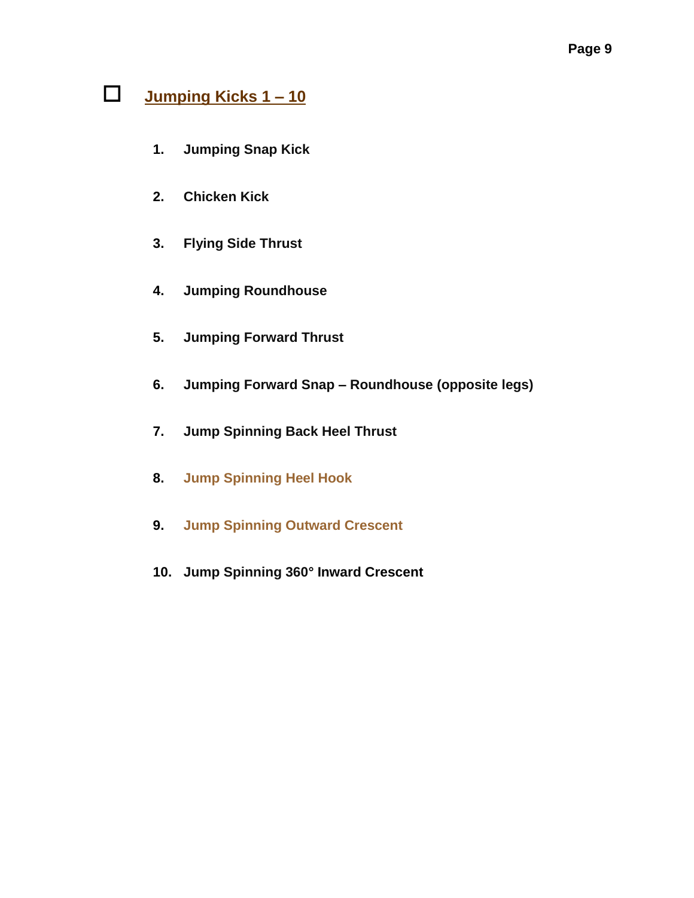## **Jumping Kicks 1 – 10**

- **1. Jumping Snap Kick**
- **2. Chicken Kick**
- **3. Flying Side Thrust**
- **4. Jumping Roundhouse**
- **5. Jumping Forward Thrust**
- **6. Jumping Forward Snap – Roundhouse (opposite legs)**
- **7. Jump Spinning Back Heel Thrust**
- **8. Jump Spinning Heel Hook**
- **9. Jump Spinning Outward Crescent**
- **10. Jump Spinning 360° Inward Crescent**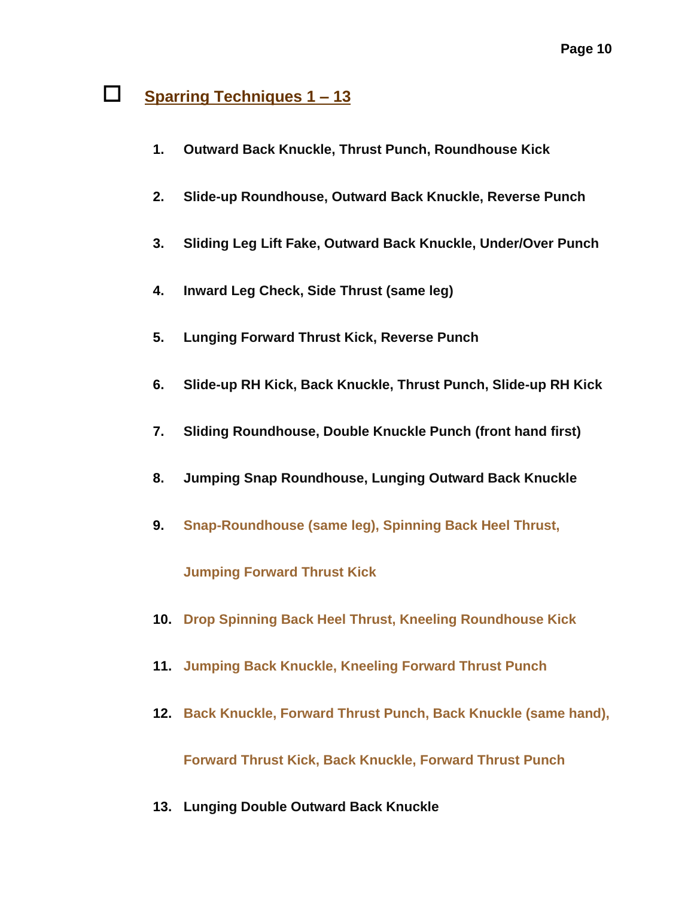### **Sparring Techniques 1 – 13**

- **1. Outward Back Knuckle, Thrust Punch, Roundhouse Kick**
- **2. Slide-up Roundhouse, Outward Back Knuckle, Reverse Punch**
- **3. Sliding Leg Lift Fake, Outward Back Knuckle, Under/Over Punch**
- **4. Inward Leg Check, Side Thrust (same leg)**
- **5. Lunging Forward Thrust Kick, Reverse Punch**
- **6. Slide-up RH Kick, Back Knuckle, Thrust Punch, Slide-up RH Kick**
- **7. Sliding Roundhouse, Double Knuckle Punch (front hand first)**
- **8. Jumping Snap Roundhouse, Lunging Outward Back Knuckle**
- **9. Snap-Roundhouse (same leg), Spinning Back Heel Thrust,**

**Jumping Forward Thrust Kick**

- **10. Drop Spinning Back Heel Thrust, Kneeling Roundhouse Kick**
- **11. Jumping Back Knuckle, Kneeling Forward Thrust Punch**
- **12. Back Knuckle, Forward Thrust Punch, Back Knuckle (same hand),**

**Forward Thrust Kick, Back Knuckle, Forward Thrust Punch**

**13. Lunging Double Outward Back Knuckle**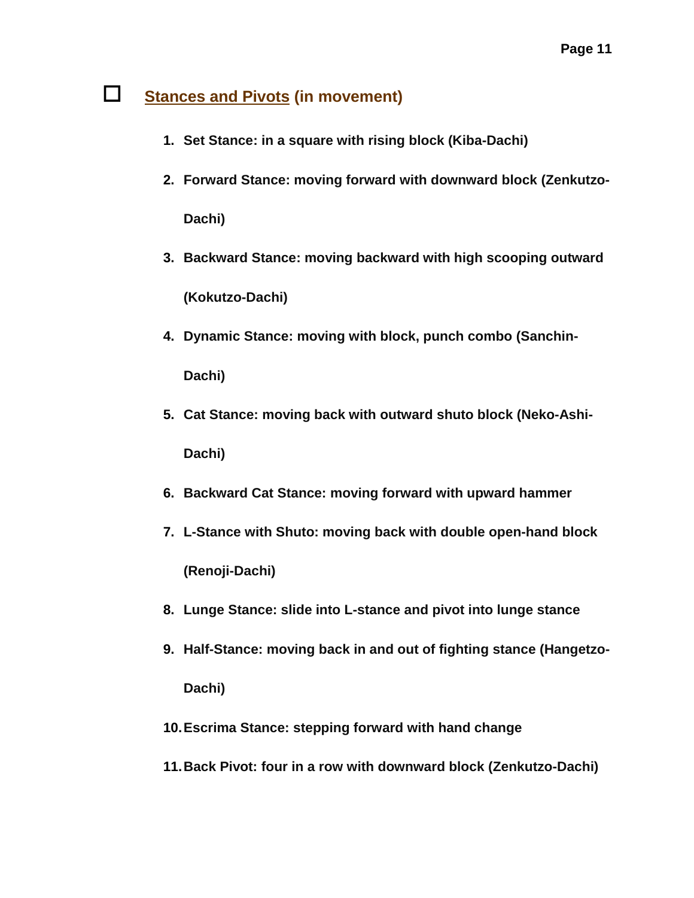## **Stances and Pivots (in movement)**

- **1. Set Stance: in a square with rising block (Kiba-Dachi)**
- **2. Forward Stance: moving forward with downward block (Zenkutzo-Dachi)**
- **3. Backward Stance: moving backward with high scooping outward (Kokutzo-Dachi)**
- **4. Dynamic Stance: moving with block, punch combo (Sanchin-Dachi)**
- **5. Cat Stance: moving back with outward shuto block (Neko-Ashi-Dachi)**
- **6. Backward Cat Stance: moving forward with upward hammer**
- **7. L-Stance with Shuto: moving back with double open-hand block (Renoji-Dachi)**
- **8. Lunge Stance: slide into L-stance and pivot into lunge stance**
- **9. Half-Stance: moving back in and out of fighting stance (Hangetzo-Dachi)**
- **10.Escrima Stance: stepping forward with hand change**
- **11.Back Pivot: four in a row with downward block (Zenkutzo-Dachi)**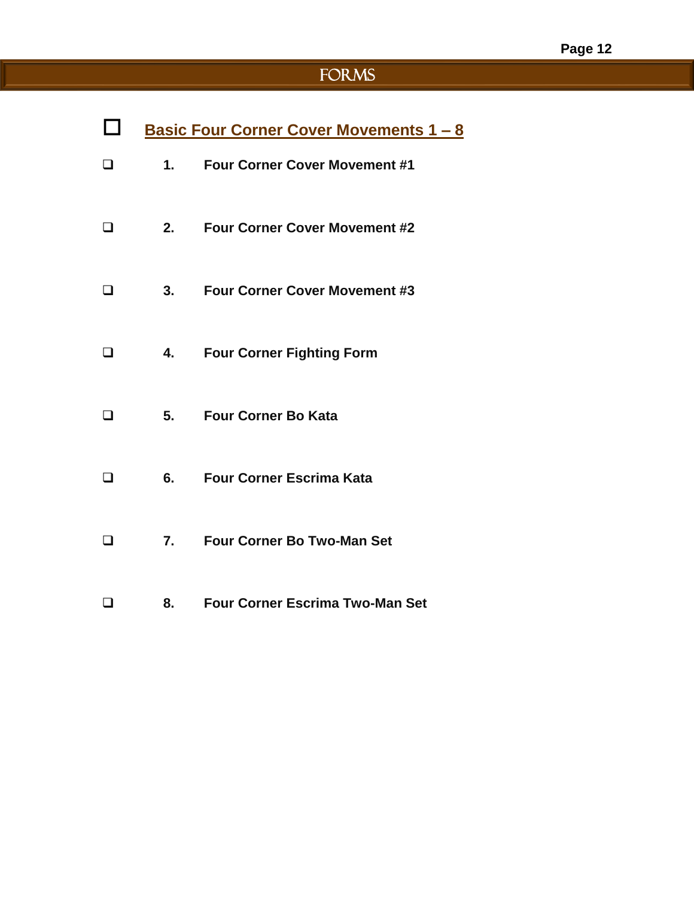# FORMS

|        |    | <u><b>Basic Four Corner Cover Movements 1 - 8</b></u> |
|--------|----|-------------------------------------------------------|
| $\Box$ | 1. | <b>Four Corner Cover Movement #1</b>                  |
|        | 2. | <b>Four Corner Cover Movement #2</b>                  |
|        | 3. | <b>Four Corner Cover Movement #3</b>                  |
| □      | 4. | <b>Four Corner Fighting Form</b>                      |
| П      | 5. | <b>Four Corner Bo Kata</b>                            |
|        | 6. | <b>Four Corner Escrima Kata</b>                       |
|        | 7. | <b>Four Corner Bo Two-Man Set</b>                     |
|        | 8. | <b>Four Corner Escrima Two-Man Set</b>                |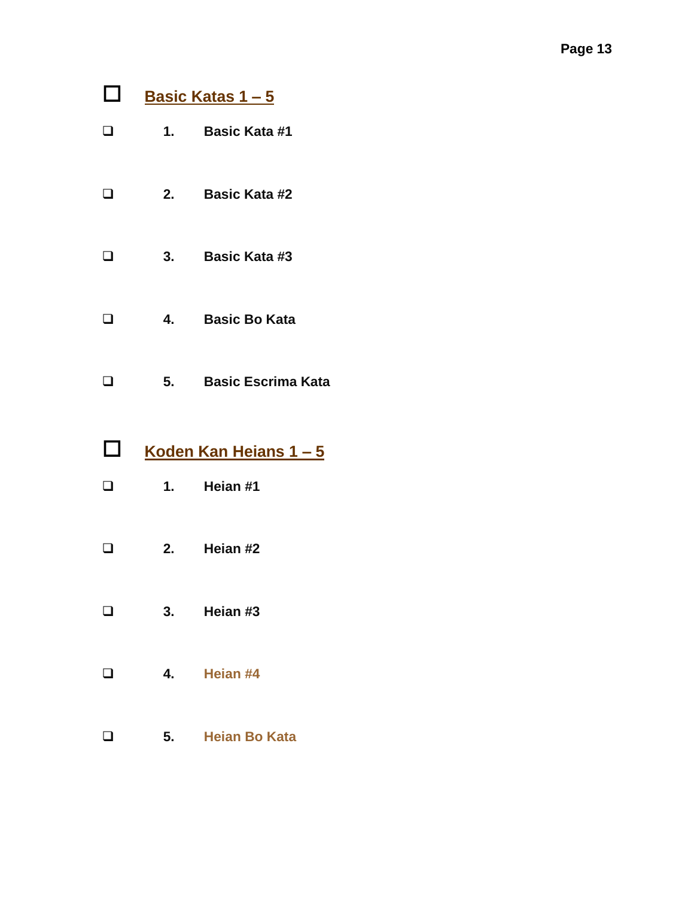- **Basic Katas 1 – 5**
- **1. Basic Kata #1**
- **2. Basic Kata #2**
- **3. Basic Kata #3**
- **4. Basic Bo Kata**
- **5. Basic Escrima Kata**
- **Koden Kan Heians 1 – 5**
- **1. Heian #1**
- **2. Heian #2**
- **3. Heian #3**
- **4. Heian #4**
- **5. Heian Bo Kata**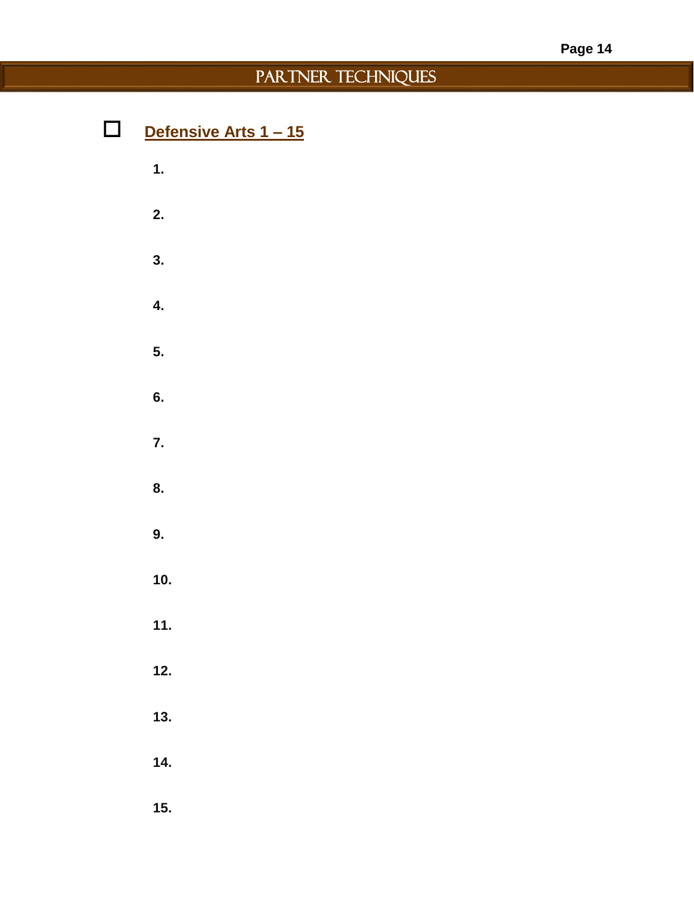## PARTNER TECHNIQUES

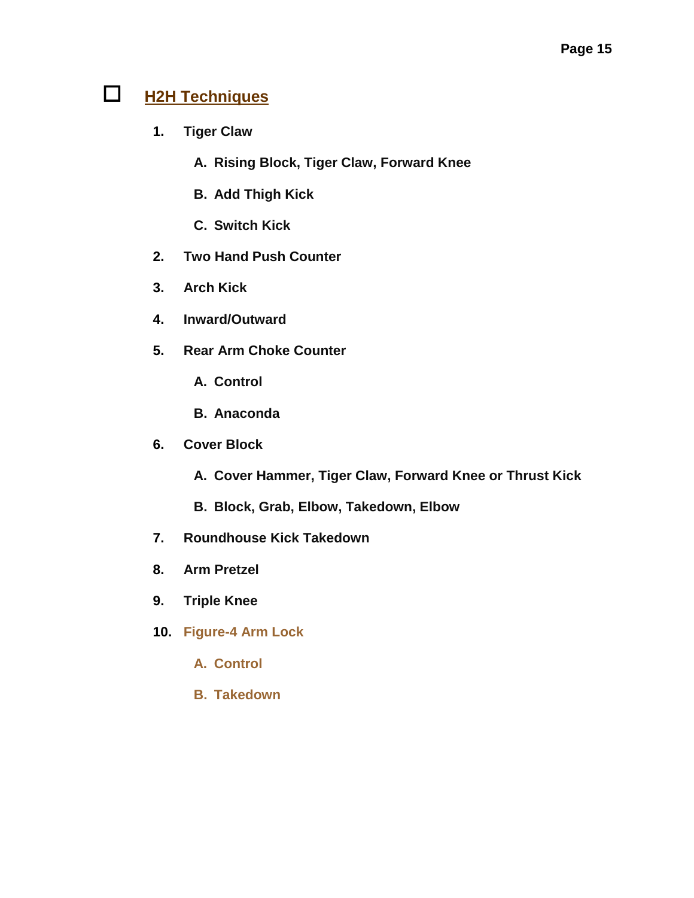## **H2H Techniques**

- **1. Tiger Claw**
	- **A. Rising Block, Tiger Claw, Forward Knee**
	- **B. Add Thigh Kick**
	- **C. Switch Kick**
- **2. Two Hand Push Counter**
- **3. Arch Kick**
- **4. Inward/Outward**
- **5. Rear Arm Choke Counter**
	- **A. Control**
	- **B. Anaconda**
- **6. Cover Block**
	- **A. Cover Hammer, Tiger Claw, Forward Knee or Thrust Kick**
	- **B. Block, Grab, Elbow, Takedown, Elbow**
- **7. Roundhouse Kick Takedown**
- **8. Arm Pretzel**
- **9. Triple Knee**
- **10. Figure-4 Arm Lock**
	- **A. Control**
	- **B. Takedown**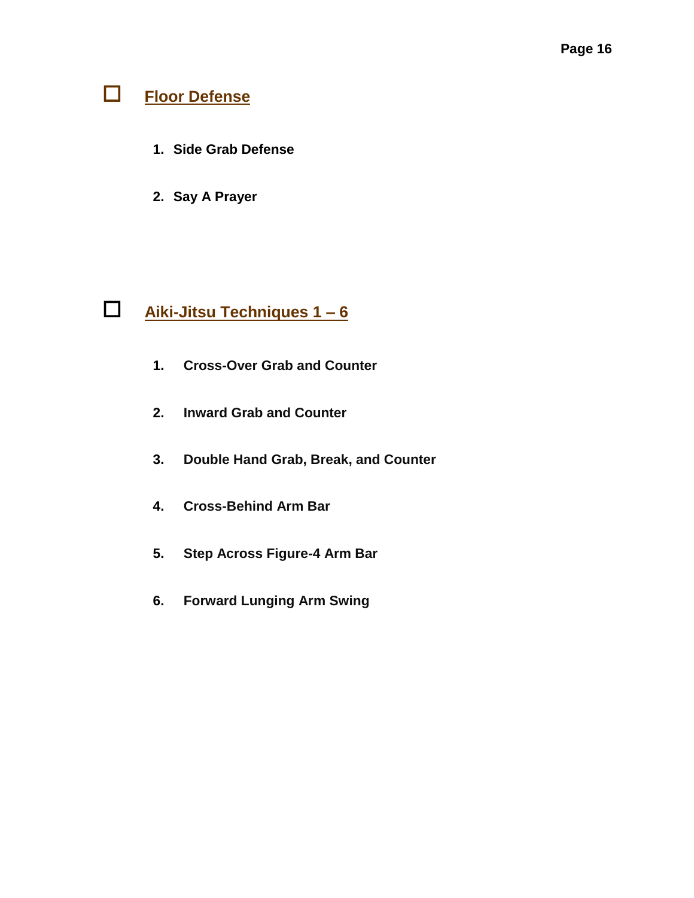# **Floor Defense**

- **1. Side Grab Defense**
- **2. Say A Prayer**

## **Aiki-Jitsu Techniques 1 – 6**

- **1. Cross-Over Grab and Counter**
- **2. Inward Grab and Counter**
- **3. Double Hand Grab, Break, and Counter**
- **4. Cross-Behind Arm Bar**
- **5. Step Across Figure-4 Arm Bar**
- **6. Forward Lunging Arm Swing**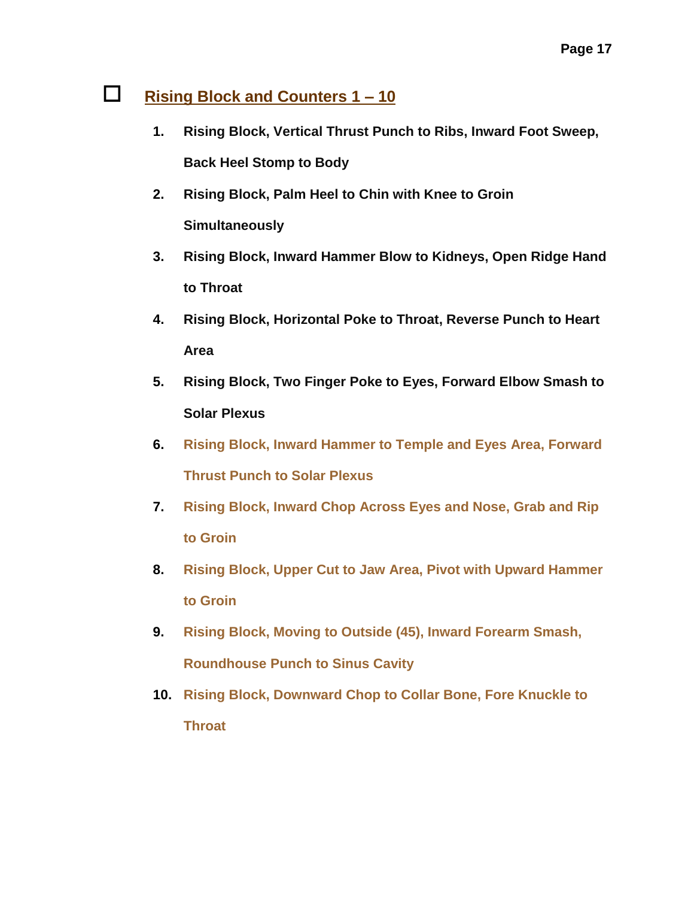### **Rising Block and Counters 1 – 10**

- **1. Rising Block, Vertical Thrust Punch to Ribs, Inward Foot Sweep, Back Heel Stomp to Body**
- **2. Rising Block, Palm Heel to Chin with Knee to Groin Simultaneously**
- **3. Rising Block, Inward Hammer Blow to Kidneys, Open Ridge Hand to Throat**
- **4. Rising Block, Horizontal Poke to Throat, Reverse Punch to Heart Area**
- **5. Rising Block, Two Finger Poke to Eyes, Forward Elbow Smash to Solar Plexus**
- **6. Rising Block, Inward Hammer to Temple and Eyes Area, Forward Thrust Punch to Solar Plexus**
- **7. Rising Block, Inward Chop Across Eyes and Nose, Grab and Rip to Groin**
- **8. Rising Block, Upper Cut to Jaw Area, Pivot with Upward Hammer to Groin**
- **9. Rising Block, Moving to Outside (45), Inward Forearm Smash, Roundhouse Punch to Sinus Cavity**
- **10. Rising Block, Downward Chop to Collar Bone, Fore Knuckle to Throat**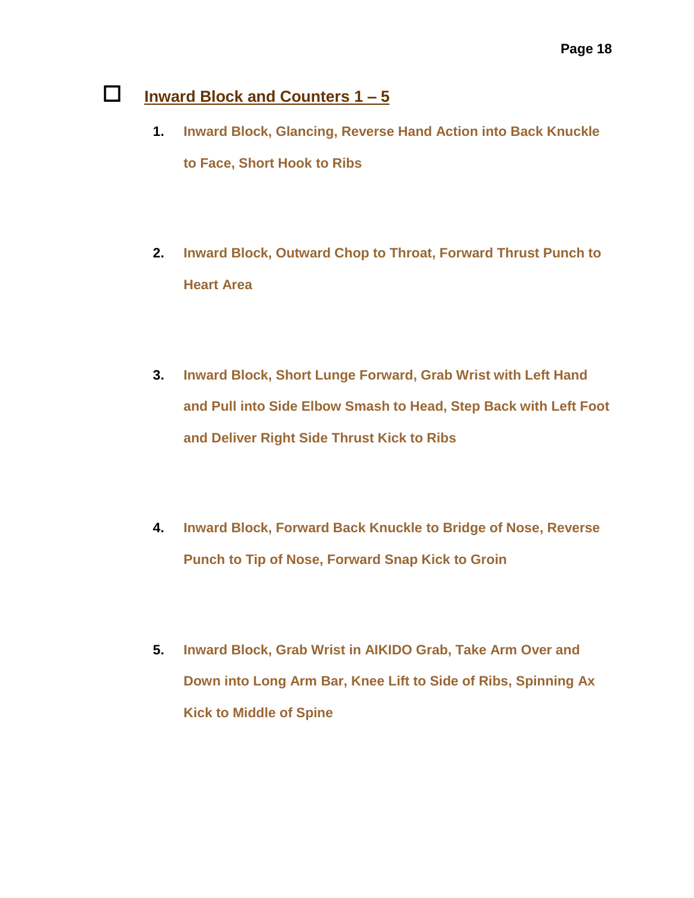## **Inward Block and Counters 1 – 5**

- **1. Inward Block, Glancing, Reverse Hand Action into Back Knuckle to Face, Short Hook to Ribs**
- **2. Inward Block, Outward Chop to Throat, Forward Thrust Punch to Heart Area**
- **3. Inward Block, Short Lunge Forward, Grab Wrist with Left Hand and Pull into Side Elbow Smash to Head, Step Back with Left Foot and Deliver Right Side Thrust Kick to Ribs**
- **4. Inward Block, Forward Back Knuckle to Bridge of Nose, Reverse Punch to Tip of Nose, Forward Snap Kick to Groin**
- **5. Inward Block, Grab Wrist in AIKIDO Grab, Take Arm Over and Down into Long Arm Bar, Knee Lift to Side of Ribs, Spinning Ax Kick to Middle of Spine**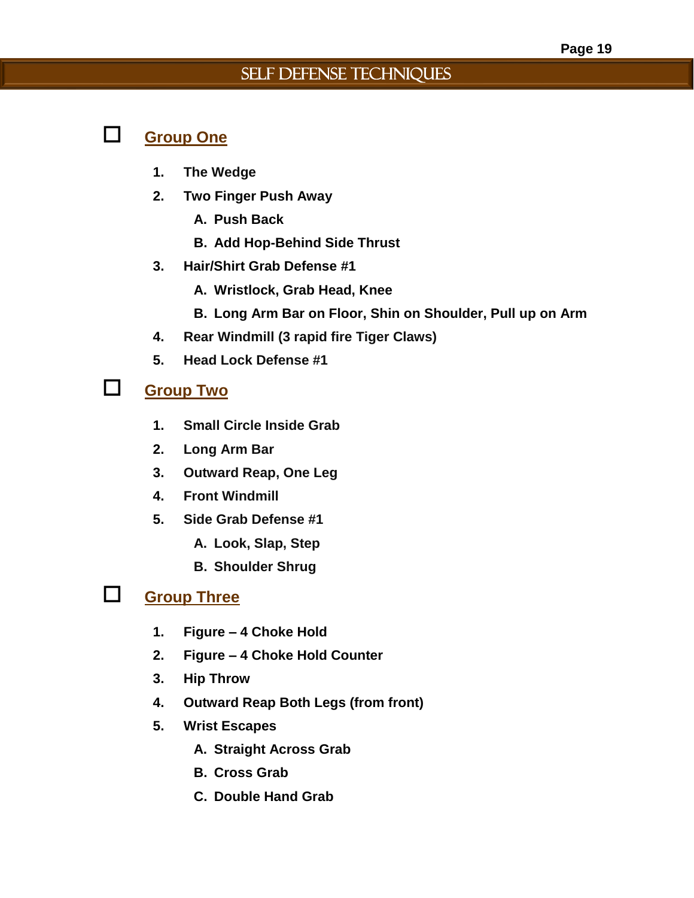#### Self Defense Techniques

#### **Group One**

- **1. The Wedge**
- **2. Two Finger Push Away**
	- **A. Push Back**
	- **B. Add Hop-Behind Side Thrust**
- **3. Hair/Shirt Grab Defense #1**
	- **A. Wristlock, Grab Head, Knee**
	- **B. Long Arm Bar on Floor, Shin on Shoulder, Pull up on Arm**
- **4. Rear Windmill (3 rapid fire Tiger Claws)**
- **5. Head Lock Defense #1**

### **Group Two**

- **1. Small Circle Inside Grab**
- **2. Long Arm Bar**
- **3. Outward Reap, One Leg**
- **4. Front Windmill**
- **5. Side Grab Defense #1**
	- **A. Look, Slap, Step**
	- **B. Shoulder Shrug**

#### **Group Three**

- **1. Figure – 4 Choke Hold**
- **2. Figure – 4 Choke Hold Counter**
- **3. Hip Throw**
- **4. Outward Reap Both Legs (from front)**
- **5. Wrist Escapes**
	- **A. Straight Across Grab**
	- **B. Cross Grab**
	- **C. Double Hand Grab**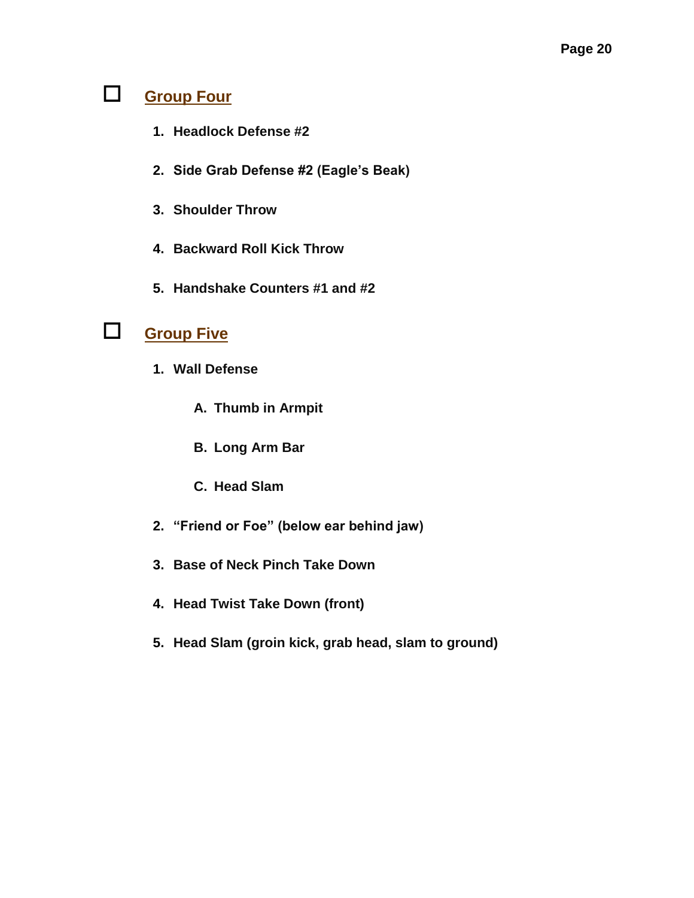## **Group Four**

- **1. Headlock Defense #2**
- **2. Side Grab Defense #2 (Eagle's Beak)**
- **3. Shoulder Throw**
- **4. Backward Roll Kick Throw**
- **5. Handshake Counters #1 and #2**

## **Group Five**

- **1. Wall Defense**
	- **A. Thumb in Armpit**
	- **B. Long Arm Bar**
	- **C. Head Slam**
- **2. "Friend or Foe" (below ear behind jaw)**
- **3. Base of Neck Pinch Take Down**
- **4. Head Twist Take Down (front)**
- **5. Head Slam (groin kick, grab head, slam to ground)**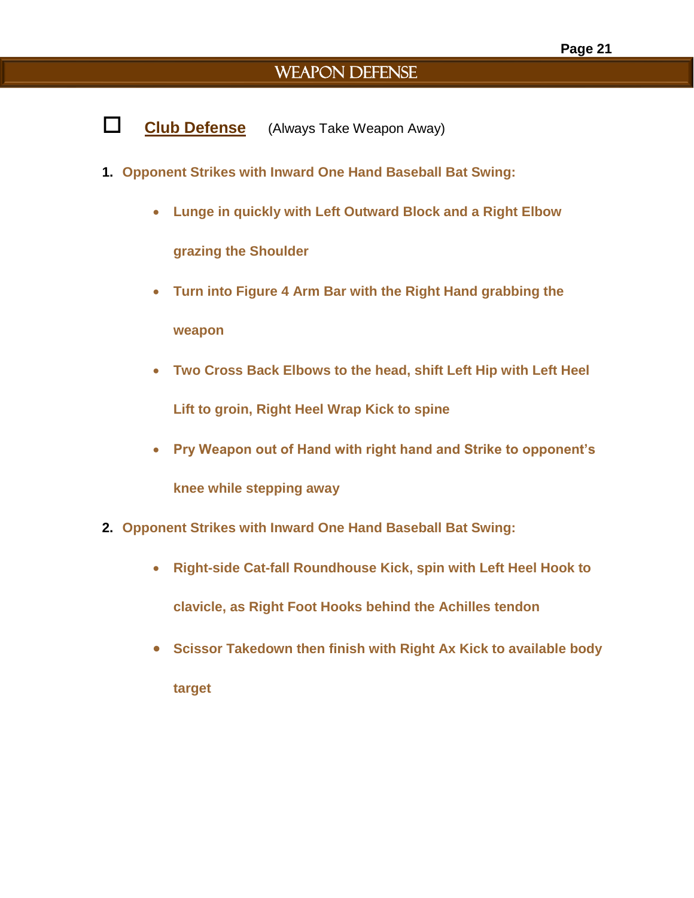### WEAPON DEFENSE

- **Club Defense** (Always Take Weapon Away)
- **1. Opponent Strikes with Inward One Hand Baseball Bat Swing:**
	- **Lunge in quickly with Left Outward Block and a Right Elbow grazing the Shoulder**
	- **Turn into Figure 4 Arm Bar with the Right Hand grabbing the weapon**
	- **Two Cross Back Elbows to the head, shift Left Hip with Left Heel Lift to groin, Right Heel Wrap Kick to spine**
	- **Pry Weapon out of Hand with right hand and Strike to opponent's knee while stepping away**
- **2. Opponent Strikes with Inward One Hand Baseball Bat Swing:**
	- **Right-side Cat-fall Roundhouse Kick, spin with Left Heel Hook to clavicle, as Right Foot Hooks behind the Achilles tendon**
	- **Scissor Takedown then finish with Right Ax Kick to available body target**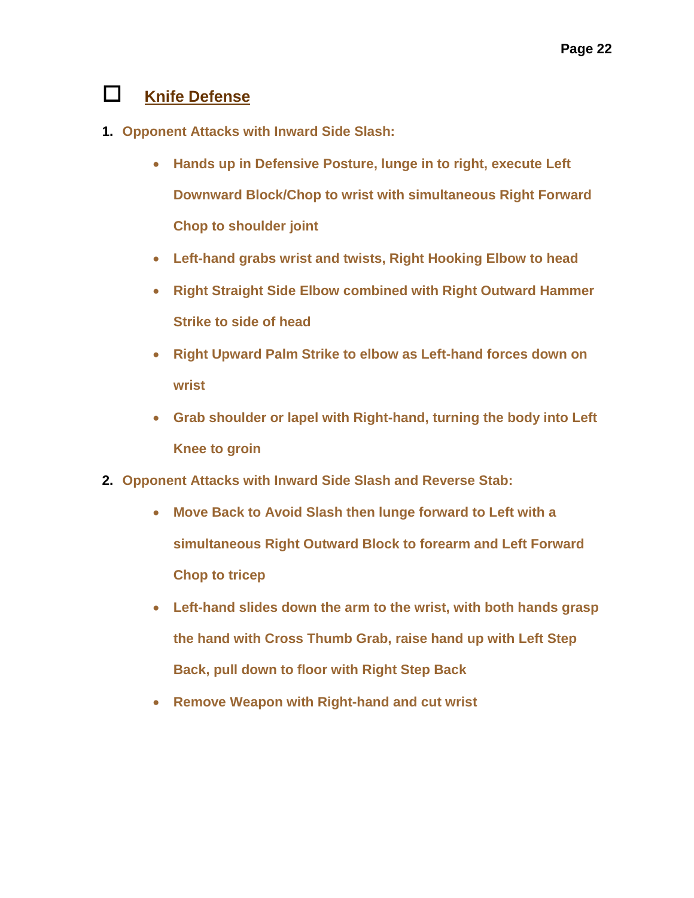### **Knife Defense**

- **1. Opponent Attacks with Inward Side Slash:**
	- **Hands up in Defensive Posture, lunge in to right, execute Left Downward Block/Chop to wrist with simultaneous Right Forward Chop to shoulder joint**
	- **Left-hand grabs wrist and twists, Right Hooking Elbow to head**
	- **Right Straight Side Elbow combined with Right Outward Hammer Strike to side of head**
	- **Right Upward Palm Strike to elbow as Left-hand forces down on wrist**
	- **Grab shoulder or lapel with Right-hand, turning the body into Left Knee to groin**
- **2. Opponent Attacks with Inward Side Slash and Reverse Stab:**
	- **Move Back to Avoid Slash then lunge forward to Left with a simultaneous Right Outward Block to forearm and Left Forward Chop to tricep**
	- **Left-hand slides down the arm to the wrist, with both hands grasp the hand with Cross Thumb Grab, raise hand up with Left Step Back, pull down to floor with Right Step Back**
	- **Remove Weapon with Right-hand and cut wrist**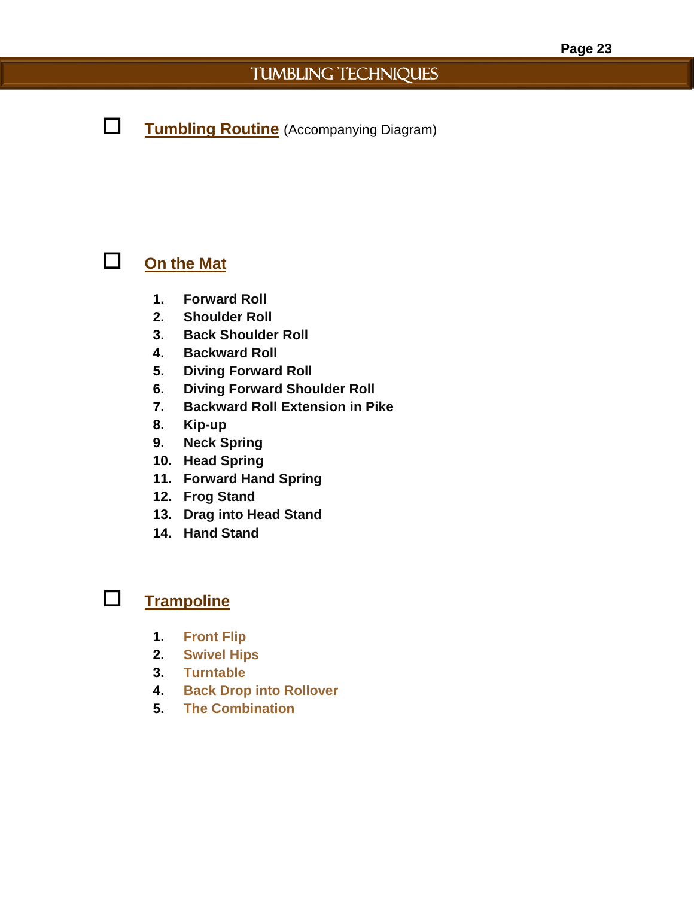## TUMBLING TECHNIQUES

**Tumbling Routine** (Accompanying Diagram)

## **On the Mat**

- **1. Forward Roll**
- **2. Shoulder Roll**
- **3. Back Shoulder Roll**
- **4. Backward Roll**
- **5. Diving Forward Roll**
- **6. Diving Forward Shoulder Roll**
- **7. Backward Roll Extension in Pike**
- **8. Kip-up**
- **9. Neck Spring**
- **10. Head Spring**
- **11. Forward Hand Spring**
- **12. Frog Stand**
- **13. Drag into Head Stand**
- **14. Hand Stand**

### **Trampoline**

- **1. Front Flip**
- **2. Swivel Hips**
- **3. Turntable**
- **4. Back Drop into Rollover**
- **5. The Combination**